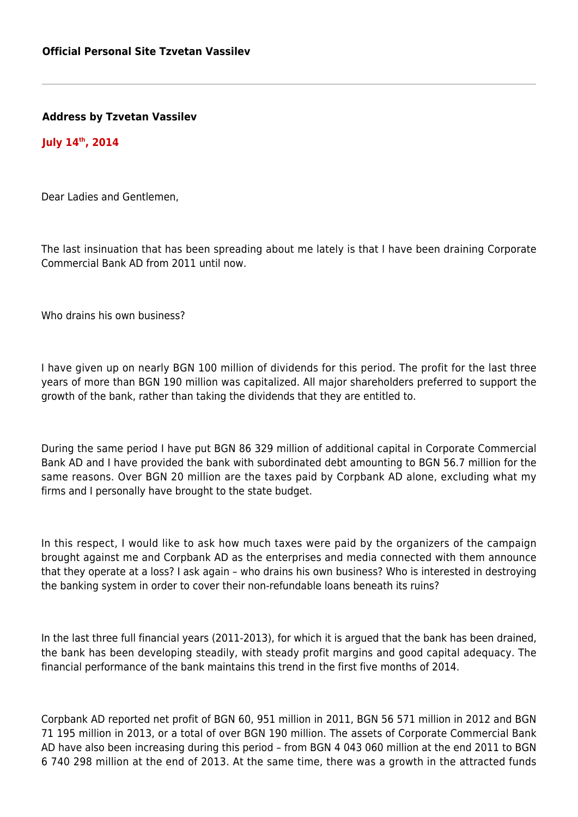**Address by Tzvetan Vassilev**

**July 14th, 2014**

Dear Ladies and Gentlemen,

The last insinuation that has been spreading about me lately is that I have been draining Corporate Commercial Bank AD from 2011 until now.

Who drains his own business?

I have given up on nearly BGN 100 million of dividends for this period. The profit for the last three years of more than BGN 190 million was capitalized. All major shareholders preferred to support the growth of the bank, rather than taking the dividends that they are entitled to.

During the same period I have put BGN 86 329 million of additional capital in Corporate Commercial Bank AD and I have provided the bank with subordinated debt amounting to BGN 56.7 million for the same reasons. Over BGN 20 million are the taxes paid by Corpbank AD alone, excluding what my firms and I personally have brought to the state budget.

In this respect, I would like to ask how much taxes were paid by the organizers of the campaign brought against me and Corpbank AD as the enterprises and media connected with them announce that they operate at a loss? I ask again – who drains his own business? Who is interested in destroying the banking system in order to cover their non-refundable loans beneath its ruins?

In the last three full financial years (2011-2013), for which it is argued that the bank has been drained, the bank has been developing steadily, with steady profit margins and good capital adequacy. The financial performance of the bank maintains this trend in the first five months of 2014.

Corpbank AD reported net profit of BGN 60, 951 million in 2011, BGN 56 571 million in 2012 and BGN 71 195 million in 2013, or a total of over BGN 190 million. The assets of Corporate Commercial Bank AD have also been increasing during this period – from BGN 4 043 060 million at the end 2011 to BGN 6 740 298 million at the end of 2013. At the same time, there was a growth in the attracted funds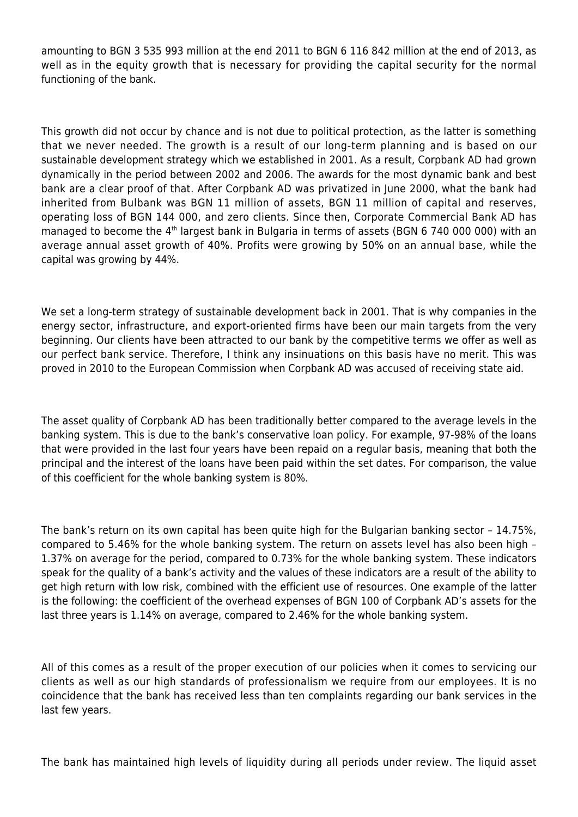amounting to BGN 3 535 993 million at the end 2011 to BGN 6 116 842 million at the end of 2013, as well as in the equity growth that is necessary for providing the capital security for the normal functioning of the bank.

This growth did not occur by chance and is not due to political protection, as the latter is something that we never needed. The growth is a result of our long-term planning and is based on our sustainable development strategy which we established in 2001. As a result, Corpbank AD had grown dynamically in the period between 2002 and 2006. The awards for the most dynamic bank and best bank are a clear proof of that. After Corpbank AD was privatized in June 2000, what the bank had inherited from Bulbank was BGN 11 million of assets, BGN 11 million of capital and reserves, operating loss of BGN 144 000, and zero clients. Since then, Corporate Commercial Bank AD has managed to become the 4<sup>th</sup> largest bank in Bulgaria in terms of assets (BGN 6 740 000 000) with an average annual asset growth of 40%. Profits were growing by 50% on an annual base, while the capital was growing by 44%.

We set a long-term strategy of sustainable development back in 2001. That is why companies in the energy sector, infrastructure, and export-oriented firms have been our main targets from the very beginning. Our clients have been attracted to our bank by the competitive terms we offer as well as our perfect bank service. Therefore, I think any insinuations on this basis have no merit. This was proved in 2010 to the European Commission when Corpbank AD was accused of receiving state aid.

The asset quality of Corpbank AD has been traditionally better compared to the average levels in the banking system. This is due to the bank's conservative loan policy. For example, 97-98% of the loans that were provided in the last four years have been repaid on a regular basis, meaning that both the principal and the interest of the loans have been paid within the set dates. For comparison, the value of this coefficient for the whole banking system is 80%.

The bank's return on its own capital has been quite high for the Bulgarian banking sector – 14.75%, compared to 5.46% for the whole banking system. The return on assets level has also been high – 1.37% on average for the period, compared to 0.73% for the whole banking system. These indicators speak for the quality of a bank's activity and the values of these indicators are a result of the ability to get high return with low risk, combined with the efficient use of resources. One example of the latter is the following: the coefficient of the overhead expenses of BGN 100 of Corpbank AD's assets for the last three years is 1.14% on average, compared to 2.46% for the whole banking system.

All of this comes as a result of the proper execution of our policies when it comes to servicing our clients as well as our high standards of professionalism we require from our employees. It is no coincidence that the bank has received less than ten complaints regarding our bank services in the last few years.

The bank has maintained high levels of liquidity during all periods under review. The liquid asset